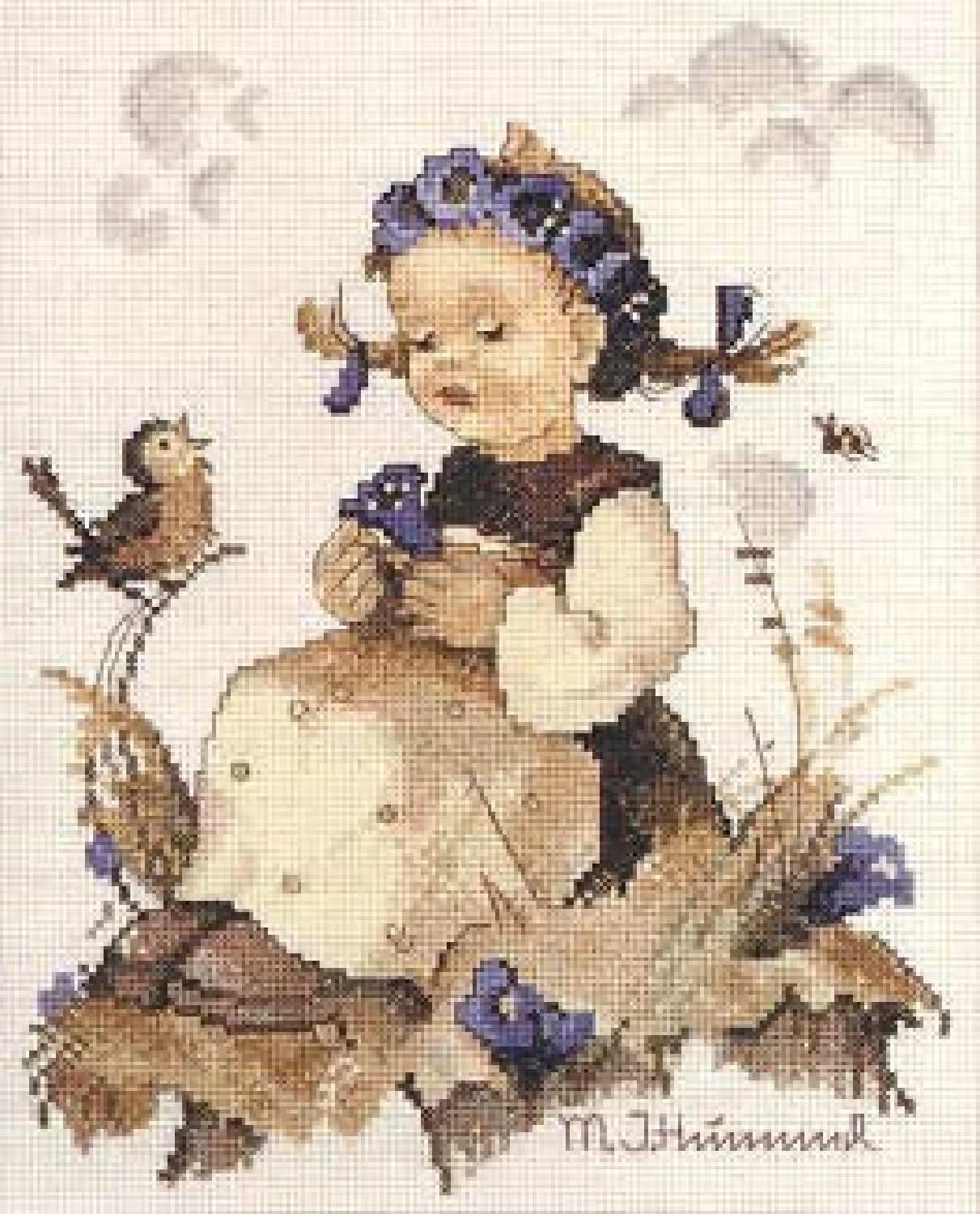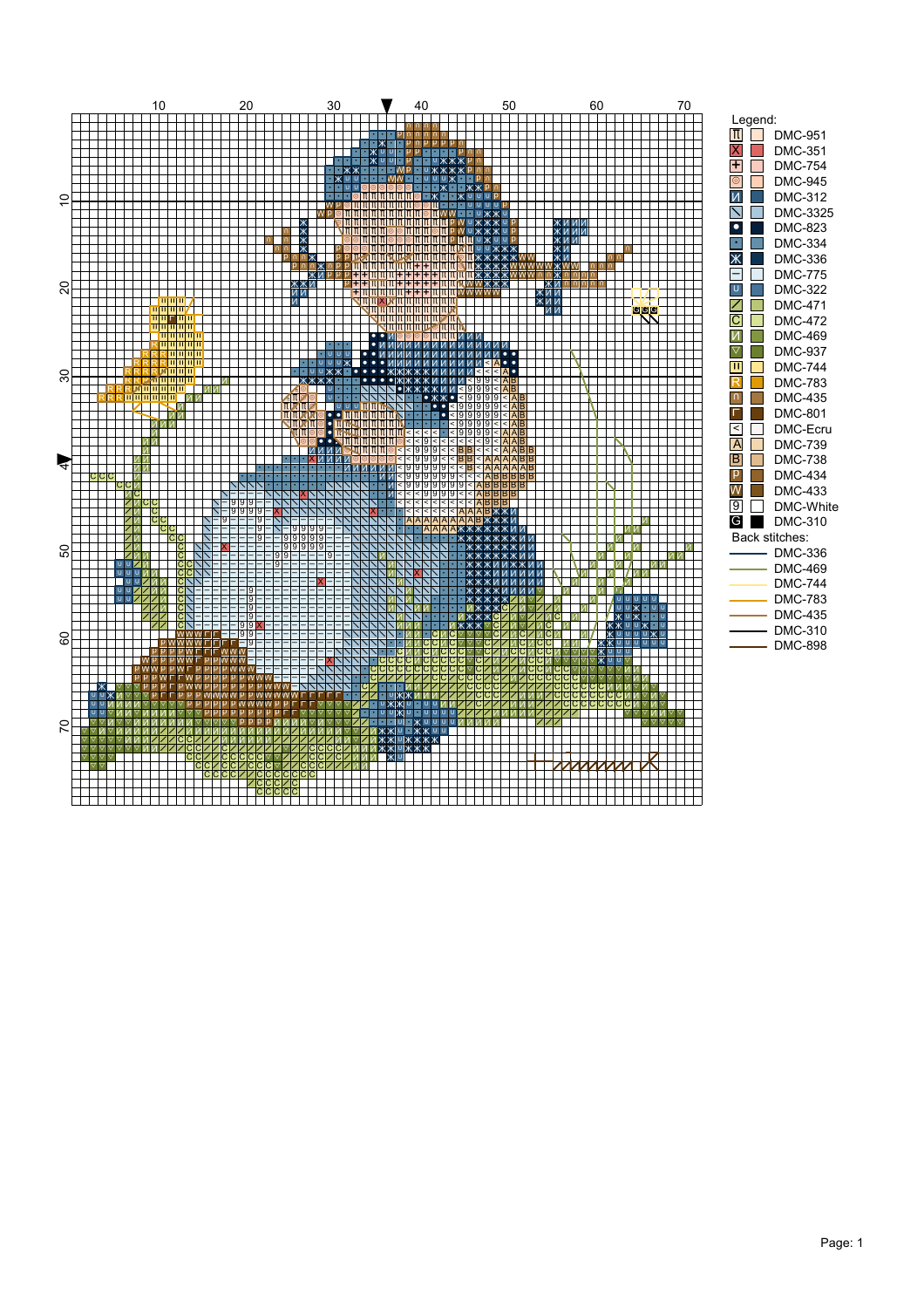